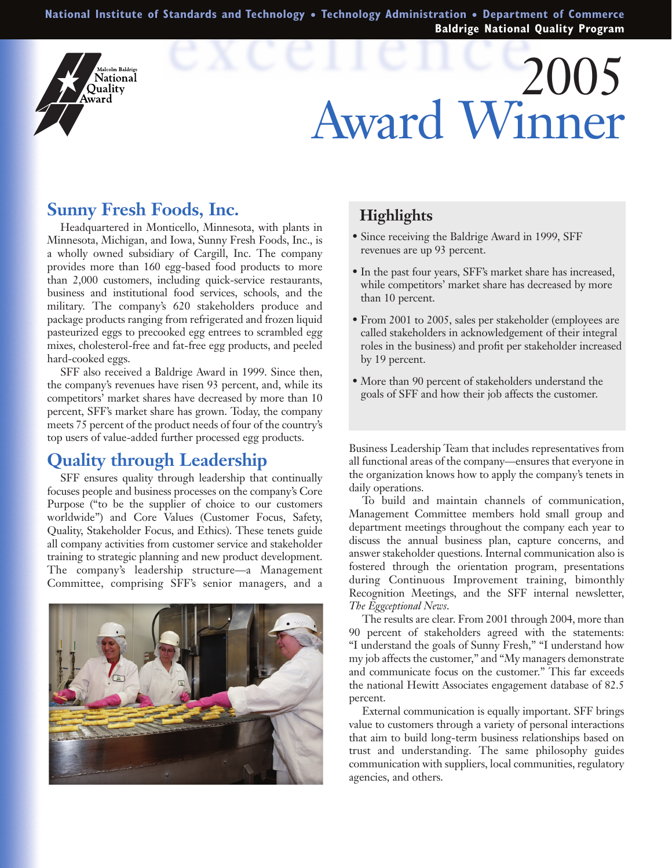**National Institute of Standards and Technology** ● **Technology Administration** ● **Department of Commerce Baldrige National Quality Program**

# 200 Award Winner

# **Sunny Fresh Foods, Inc.**

lcolm Baldrige Vational Ouality **\**ward

Headquartered in Monticello, Minnesota, with plants in Minnesota, Michigan, and Iowa, Sunny Fresh Foods, Inc., is a wholly owned subsidiary of Cargill, Inc. The company provides more than 160 egg-based food products to more than 2,000 customers, including quick-service restaurants, business and institutional food services, schools, and the military. The company's 620 stakeholders produce and package products ranging from refrigerated and frozen liquid pasteurized eggs to precooked egg entrees to scrambled egg mixes, cholesterol-free and fat-free egg products, and peeled hard-cooked eggs.

SFF also received a Baldrige Award in 1999. Since then, the company's revenues have risen 93 percent, and, while its competitors' market shares have decreased by more than 10 percent, SFF's market share has grown. Today, the company meets 75 percent of the product needs of four of the country's top users of value-added further processed egg products.

# **Quality through Leadership**

SFF ensures quality through leadership that continually focuses people and business processes on the company's Core Purpose ("to be the supplier of choice to our customers worldwide") and Core Values (Customer Focus, Safety, Quality, Stakeholder Focus, and Ethics). These tenets guide all company activities from customer service and stakeholder training to strategic planning and new product development. The company's leadership structure—a Management Committee, comprising SFF's senior managers, and a



#### **Highlights**

- Since receiving the Baldrige Award in 1999, SFF revenues are up 93 percent.
- In the past four years, SFF's market share has increased, while competitors' market share has decreased by more than 10 percent.
- From 2001 to 2005, sales per stakeholder (employees are called stakeholders in acknowledgement of their integral roles in the business) and profit per stakeholder increased by 19 percent.
- More than 90 percent of stakeholders understand the goals of SFF and how their job affects the customer.

Business Leadership Team that includes representatives from all functional areas of the company—ensures that everyone in the organization knows how to apply the company's tenets in daily operations.

To build and maintain channels of communication, Management Committee members hold small group and department meetings throughout the company each year to discuss the annual business plan, capture concerns, and answer stakeholder questions. Internal communication also is fostered through the orientation program, presentations during Continuous Improvement training, bimonthly Recognition Meetings, and the SFF internal newsletter, *The Eggceptional News*.

The results are clear. From 2001 through 2004, more than 90 percent of stakeholders agreed with the statements: "I understand the goals of Sunny Fresh," "I understand how my job affects the customer," and "My managers demonstrate and communicate focus on the customer." This far exceeds the national Hewitt Associates engagement database of 82.5 percent.

External communication is equally important. SFF brings value to customers through a variety of personal interactions that aim to build long-term business relationships based on trust and understanding. The same philosophy guides communication with suppliers, local communities, regulatory agencies, and others.